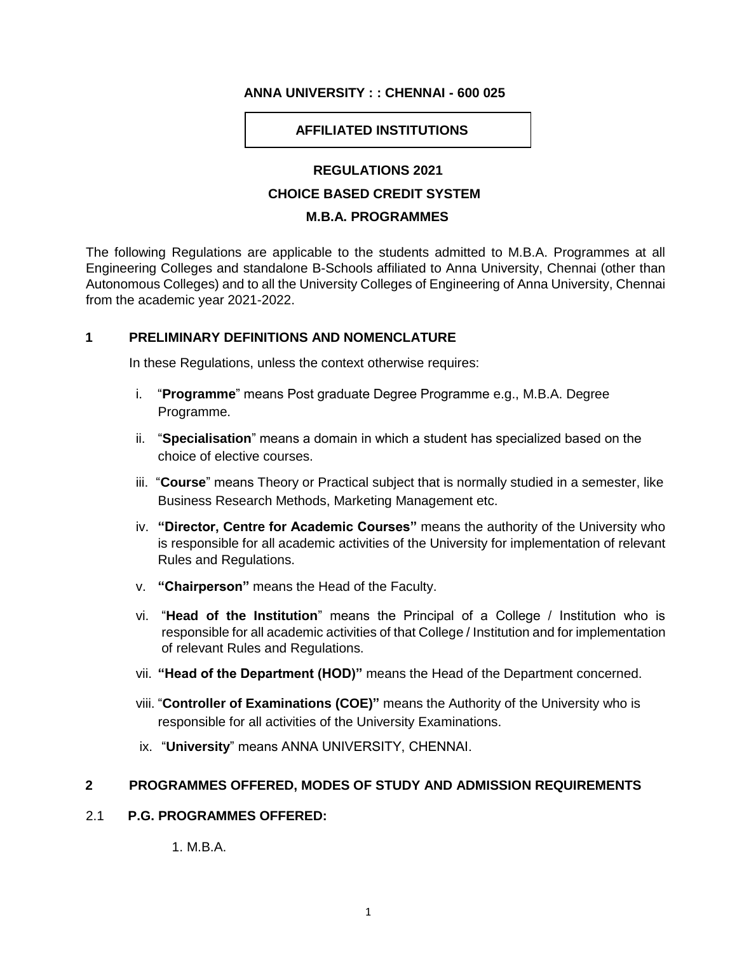#### **ANNA UNIVERSITY : : CHENNAI - 600 025**

#### **AFFILIATED INSTITUTIONS**

#### **REGULATIONS 2021**

#### **CHOICE BASED CREDIT SYSTEM**

#### **M.B.A. PROGRAMMES**

The following Regulations are applicable to the students admitted to M.B.A. Programmes at all Engineering Colleges and standalone B-Schools affiliated to Anna University, Chennai (other than Autonomous Colleges) and to all the University Colleges of Engineering of Anna University, Chennai from the academic year 2021-2022.

#### **1 PRELIMINARY DEFINITIONS AND NOMENCLATURE**

In these Regulations, unless the context otherwise requires:

- i. "**Programme**" means Post graduate Degree Programme e.g., M.B.A. Degree Programme.
- ii. "**Specialisation**" means a domain in which a student has specialized based on the choice of elective courses.
- iii. "**Course**" means Theory or Practical subject that is normally studied in a semester, like Business Research Methods, Marketing Management etc.
- iv. **"Director, Centre for Academic Courses"** means the authority of the University who is responsible for all academic activities of the University for implementation of relevant Rules and Regulations.
- v. **"Chairperson"** means the Head of the Faculty.
- vi. "**Head of the Institution**" means the Principal of a College / Institution who is responsible for all academic activities of that College / Institution and for implementation of relevant Rules and Regulations.
- vii. **"Head of the Department (HOD)"** means the Head of the Department concerned.
- viii. "**Controller of Examinations (COE)"** means the Authority of the University who is responsible for all activities of the University Examinations.
- ix. "**University**" means ANNA UNIVERSITY, CHENNAI.

#### **2 PROGRAMMES OFFERED, MODES OF STUDY AND ADMISSION REQUIREMENTS**

#### 2.1 **P.G. PROGRAMMES OFFERED:**

1. M.B.A.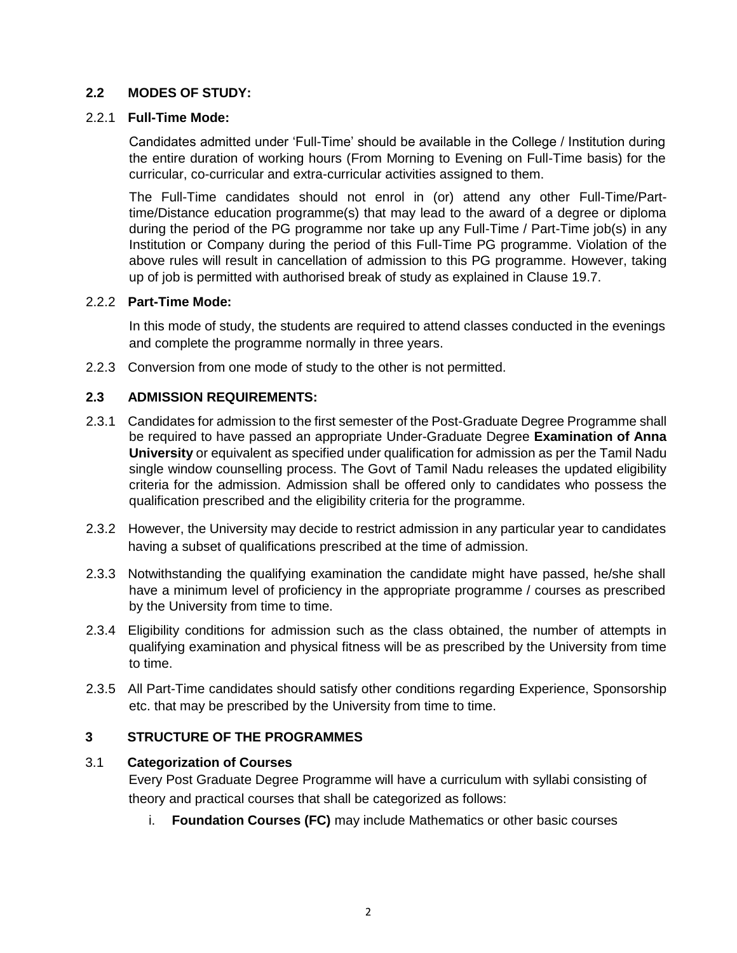## **2.2 MODES OF STUDY:**

#### 2.2.1 **Full-Time Mode:**

Candidates admitted under 'Full-Time' should be available in the College / Institution during the entire duration of working hours (From Morning to Evening on Full-Time basis) for the curricular, co-curricular and extra-curricular activities assigned to them.

The Full-Time candidates should not enrol in (or) attend any other Full-Time/Parttime/Distance education programme(s) that may lead to the award of a degree or diploma during the period of the PG programme nor take up any Full-Time / Part-Time job(s) in any Institution or Company during the period of this Full-Time PG programme. Violation of the above rules will result in cancellation of admission to this PG programme. However, taking up of job is permitted with authorised break of study as explained in Clause 19.7.

#### 2.2.2 **Part-Time Mode:**

In this mode of study, the students are required to attend classes conducted in the evenings and complete the programme normally in three years.

2.2.3 Conversion from one mode of study to the other is not permitted.

## **2.3 ADMISSION REQUIREMENTS:**

- 2.3.1 Candidates for admission to the first semester of the Post-Graduate Degree Programme shall be required to have passed an appropriate Under-Graduate Degree **Examination of Anna University** or equivalent as specified under qualification for admission as per the Tamil Nadu single window counselling process. The Govt of Tamil Nadu releases the updated eligibility criteria for the admission. Admission shall be offered only to candidates who possess the qualification prescribed and the eligibility criteria for the programme.
- 2.3.2 However, the University may decide to restrict admission in any particular year to candidates having a subset of qualifications prescribed at the time of admission.
- 2.3.3 Notwithstanding the qualifying examination the candidate might have passed, he/she shall have a minimum level of proficiency in the appropriate programme / courses as prescribed by the University from time to time.
- 2.3.4 Eligibility conditions for admission such as the class obtained, the number of attempts in qualifying examination and physical fitness will be as prescribed by the University from time to time.
- 2.3.5 All Part-Time candidates should satisfy other conditions regarding Experience, Sponsorship etc. that may be prescribed by the University from time to time.

## **3 STRUCTURE OF THE PROGRAMMES**

## 3.1 **Categorization of Courses**

Every Post Graduate Degree Programme will have a curriculum with syllabi consisting of theory and practical courses that shall be categorized as follows:

i. **Foundation Courses (FC)** may include Mathematics or other basic courses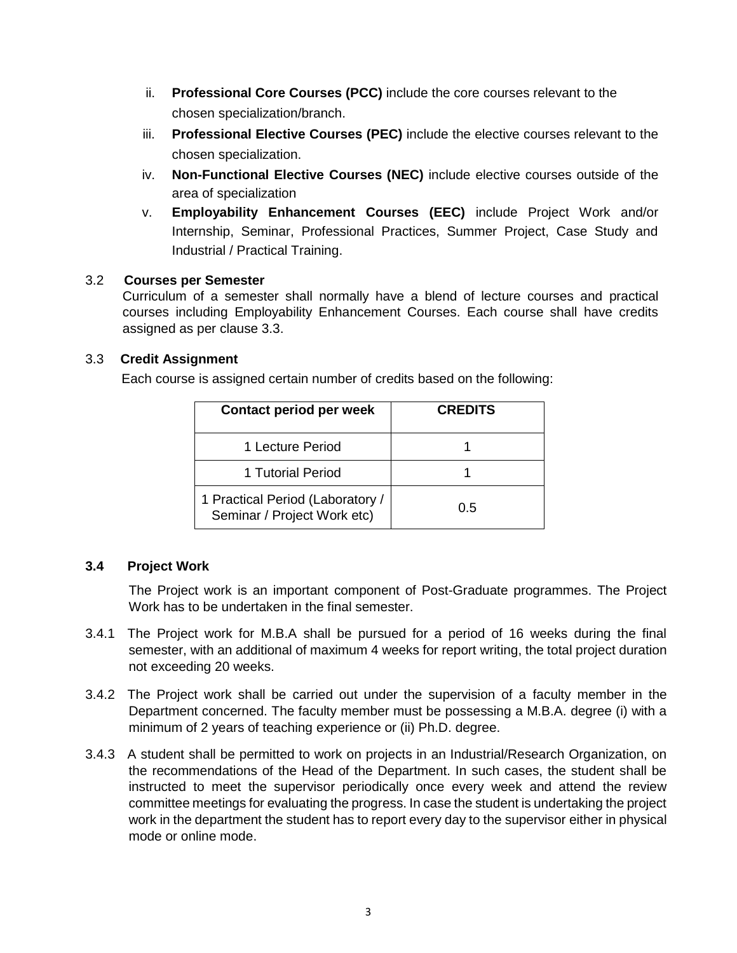- ii. **Professional Core Courses (PCC)** include the core courses relevant to the chosen specialization/branch.
- iii. **Professional Elective Courses (PEC)** include the elective courses relevant to the chosen specialization.
- iv. **Non-Functional Elective Courses (NEC)** include elective courses outside of the area of specialization
- v. **Employability Enhancement Courses (EEC)** include Project Work and/or Internship, Seminar, Professional Practices, Summer Project, Case Study and Industrial / Practical Training.

## 3.2 **Courses per Semester**

Curriculum of a semester shall normally have a blend of lecture courses and practical courses including Employability Enhancement Courses. Each course shall have credits assigned as per clause 3.3.

## 3.3 **Credit Assignment**

Each course is assigned certain number of credits based on the following:

| Contact period per week                                         | <b>CREDITS</b> |
|-----------------------------------------------------------------|----------------|
| 1 Lecture Period                                                |                |
| 1 Tutorial Period                                               |                |
| 1 Practical Period (Laboratory /<br>Seminar / Project Work etc) | 0.5            |

# **3.4 Project Work**

The Project work is an important component of Post-Graduate programmes. The Project Work has to be undertaken in the final semester.

- 3.4.1 The Project work for M.B.A shall be pursued for a period of 16 weeks during the final semester, with an additional of maximum 4 weeks for report writing, the total project duration not exceeding 20 weeks.
- 3.4.2 The Project work shall be carried out under the supervision of a faculty member in the Department concerned. The faculty member must be possessing a M.B.A. degree (i) with a minimum of 2 years of teaching experience or (ii) Ph.D. degree.
- 3.4.3 A student shall be permitted to work on projects in an Industrial/Research Organization, on the recommendations of the Head of the Department. In such cases, the student shall be instructed to meet the supervisor periodically once every week and attend the review committee meetings for evaluating the progress. In case the student is undertaking the project work in the department the student has to report every day to the supervisor either in physical mode or online mode.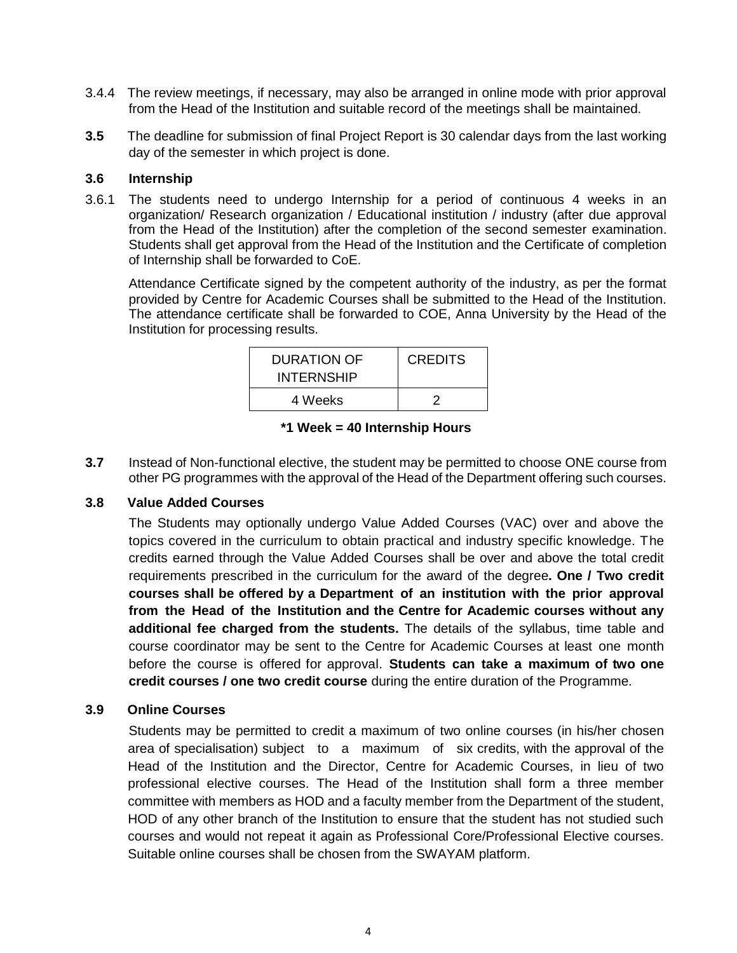- 3.4.4 The review meetings, if necessary, may also be arranged in online mode with prior approval from the Head of the Institution and suitable record of the meetings shall be maintained.
- **3.5** The deadline for submission of final Project Report is 30 calendar days from the last working day of the semester in which project is done.

#### **3.6 Internship**

3.6.1 The students need to undergo Internship for a period of continuous 4 weeks in an organization/ Research organization / Educational institution / industry (after due approval from the Head of the Institution) after the completion of the second semester examination. Students shall get approval from the Head of the Institution and the Certificate of completion of Internship shall be forwarded to CoE.

Attendance Certificate signed by the competent authority of the industry, as per the format provided by Centre for Academic Courses shall be submitted to the Head of the Institution. The attendance certificate shall be forwarded to COE, Anna University by the Head of the Institution for processing results.

| DURATION OF<br><b>INTERNSHIP</b> | <b>CREDITS</b> |
|----------------------------------|----------------|
| 4 Weeks                          |                |

| *1 Week = 40 Internship Hours |
|-------------------------------|
|-------------------------------|

**3.7** Instead of Non-functional elective, the student may be permitted to choose ONE course from other PG programmes with the approval of the Head of the Department offering such courses.

## **3.8 Value Added Courses**

The Students may optionally undergo Value Added Courses (VAC) over and above the topics covered in the curriculum to obtain practical and industry specific knowledge. The credits earned through the Value Added Courses shall be over and above the total credit requirements prescribed in the curriculum for the award of the degree**. One / Two credit courses shall be offered by a Department of an institution with the prior approval from the Head of the Institution and the Centre for Academic courses without any additional fee charged from the students.** The details of the syllabus, time table and course coordinator may be sent to the Centre for Academic Courses at least one month before the course is offered for approval. **Students can take a maximum of two one credit courses / one two credit course** during the entire duration of the Programme.

## **3.9 Online Courses**

Students may be permitted to credit a maximum of two online courses (in his/her chosen area of specialisation) subject to a maximum of six credits, with the approval of the Head of the Institution and the Director, Centre for Academic Courses, in lieu of two professional elective courses. The Head of the Institution shall form a three member committee with members as HOD and a faculty member from the Department of the student, HOD of any other branch of the Institution to ensure that the student has not studied such courses and would not repeat it again as Professional Core/Professional Elective courses. Suitable online courses shall be chosen from the SWAYAM platform.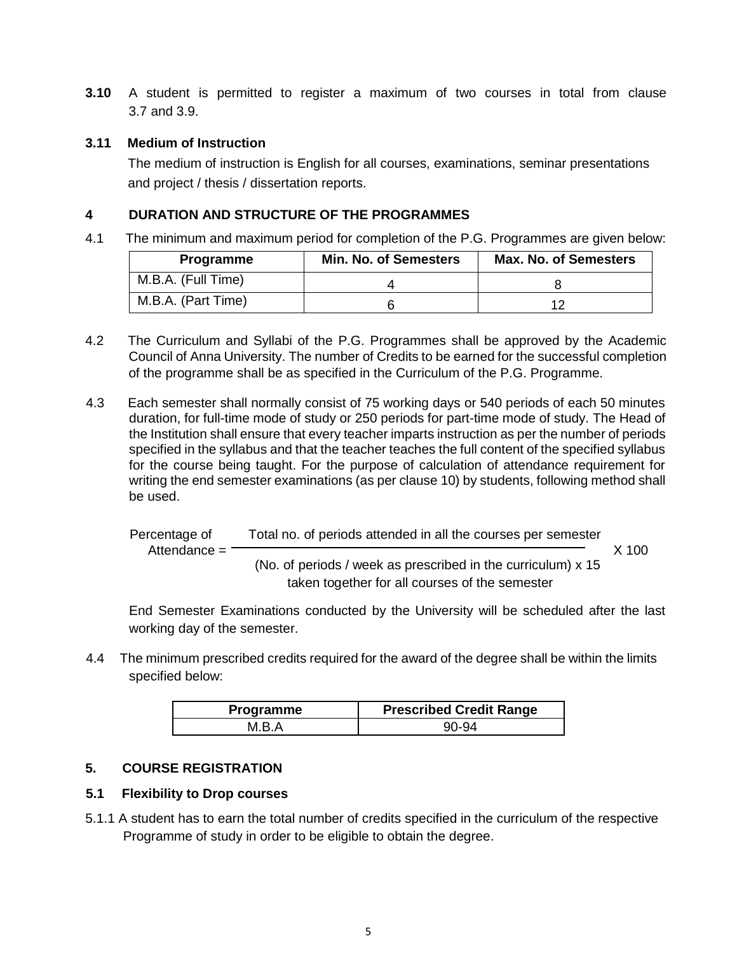**3.10** A student is permitted to register a maximum of two courses in total from clause 3.7 and 3.9.

## **3.11 Medium of Instruction**

The medium of instruction is English for all courses, examinations, seminar presentations and project / thesis / dissertation reports.

# **4 DURATION AND STRUCTURE OF THE PROGRAMMES**

4.1 The minimum and maximum period for completion of the P.G. Programmes are given below:

| <b>Programme</b>   | <b>Min. No. of Semesters</b> | <b>Max. No. of Semesters</b> |
|--------------------|------------------------------|------------------------------|
| M.B.A. (Full Time) |                              |                              |
| M.B.A. (Part Time) |                              |                              |

- 4.2 The Curriculum and Syllabi of the P.G. Programmes shall be approved by the Academic Council of Anna University. The number of Credits to be earned for the successful completion of the programme shall be as specified in the Curriculum of the P.G. Programme.
- 4.3 Each semester shall normally consist of 75 working days or 540 periods of each 50 minutes duration, for full-time mode of study or 250 periods for part-time mode of study. The Head of the Institution shall ensure that every teacher imparts instruction as per the number of periods specified in the syllabus and that the teacher teaches the full content of the specified syllabus for the course being taught. For the purpose of calculation of attendance requirement for writing the end semester examinations (as per clause 10) by students, following method shall be used.

Percentage of Total no. of periods attended in all the courses per semester Attendance = X 100 (No. of periods / week as prescribed in the curriculum) x 15 taken together for all courses of the semester

End Semester Examinations conducted by the University will be scheduled after the last working day of the semester.

4.4 The minimum prescribed credits required for the award of the degree shall be within the limits specified below:

| <b>Programme</b> | <b>Prescribed Credit Range</b> |
|------------------|--------------------------------|
| M R A            | 90-94                          |

# **5. COURSE REGISTRATION**

# **5.1 Flexibility to Drop courses**

5.1.1 A student has to earn the total number of credits specified in the curriculum of the respective Programme of study in order to be eligible to obtain the degree.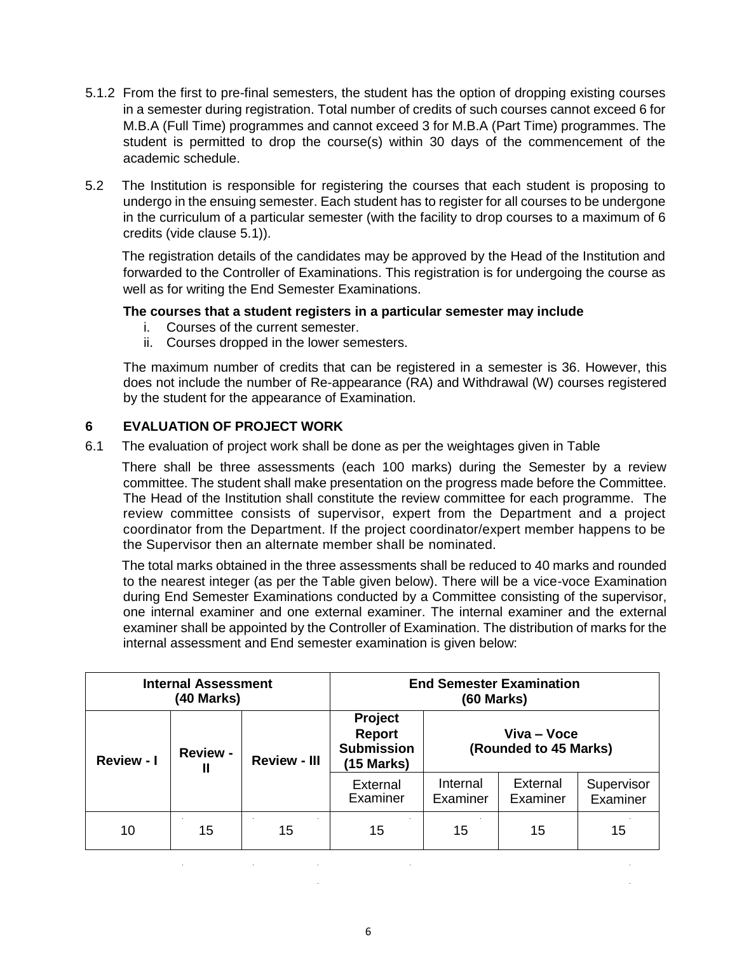- 5.1.2 From the first to pre-final semesters, the student has the option of dropping existing courses in a semester during registration. Total number of credits of such courses cannot exceed 6 for M.B.A (Full Time) programmes and cannot exceed 3 for M.B.A (Part Time) programmes. The student is permitted to drop the course(s) within 30 days of the commencement of the academic schedule.
- 5.2 The Institution is responsible for registering the courses that each student is proposing to undergo in the ensuing semester. Each student has to register for all courses to be undergone in the curriculum of a particular semester (with the facility to drop courses to a maximum of 6 credits (vide clause 5.1)).

The registration details of the candidates may be approved by the Head of the Institution and forwarded to the Controller of Examinations. This registration is for undergoing the course as well as for writing the End Semester Examinations.

## **The courses that a student registers in a particular semester may include**

- i. Courses of the current semester.
- ii. Courses dropped in the lower semesters.

The maximum number of credits that can be registered in a semester is 36. However, this does not include the number of Re-appearance (RA) and Withdrawal (W) courses registered by the student for the appearance of Examination.

# **6 EVALUATION OF PROJECT WORK**

6.1 The evaluation of project work shall be done as per the weightages given in Table

There shall be three assessments (each 100 marks) during the Semester by a review committee. The student shall make presentation on the progress made before the Committee. The Head of the Institution shall constitute the review committee for each programme. The review committee consists of supervisor, expert from the Department and a project coordinator from the Department. If the project coordinator/expert member happens to be the Supervisor then an alternate member shall be nominated.

The total marks obtained in the three assessments shall be reduced to 40 marks and rounded to the nearest integer (as per the Table given below). There will be a vice-voce Examination during End Semester Examinations conducted by a Committee consisting of the supervisor, one internal examiner and one external examiner. The internal examiner and the external examiner shall be appointed by the Controller of Examination. The distribution of marks for the internal assessment and End semester examination is given below:

| <b>Internal Assessment</b><br>(40 Marks)                                    |    | <b>End Semester Examination</b><br>$(60$ Marks $)$          |                      |                                      |                      |                        |
|-----------------------------------------------------------------------------|----|-------------------------------------------------------------|----------------------|--------------------------------------|----------------------|------------------------|
| <b>Review -</b><br><b>Review - I</b><br><b>Review - III</b><br>$\mathbf{I}$ |    | Project<br><b>Report</b><br><b>Submission</b><br>(15 Marks) |                      | Viva - Voce<br>(Rounded to 45 Marks) |                      |                        |
|                                                                             |    |                                                             | External<br>Examiner | Internal<br>Examiner                 | External<br>Examiner | Supervisor<br>Examiner |
| 10                                                                          | 15 | 15                                                          | 15                   | 15                                   | 15                   | 15                     |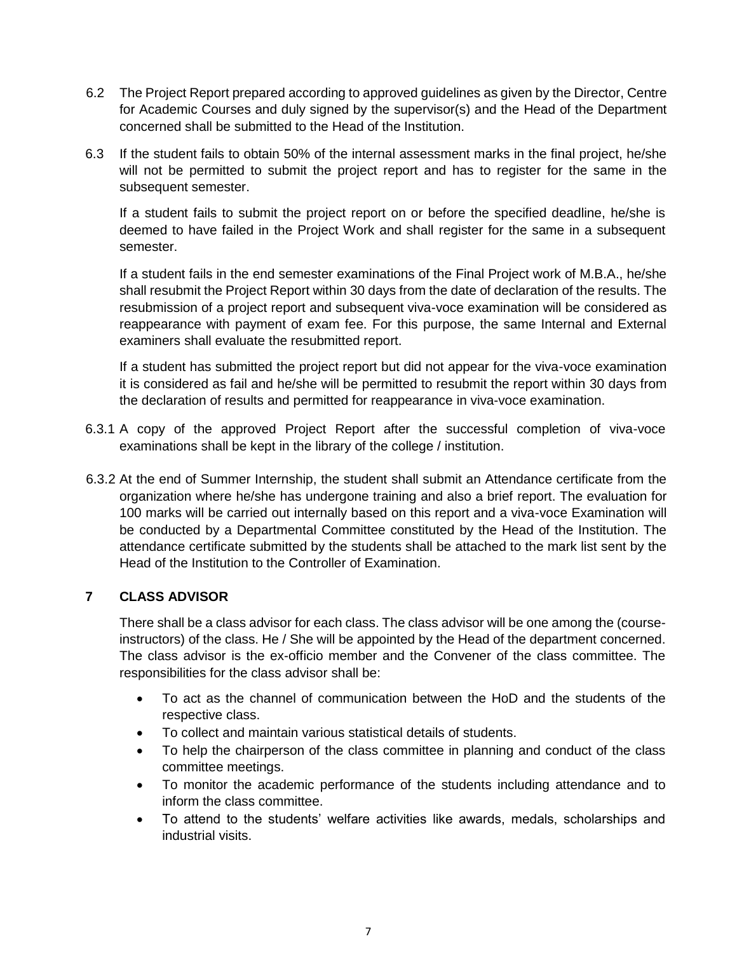- 6.2 The Project Report prepared according to approved guidelines as given by the Director, Centre for Academic Courses and duly signed by the supervisor(s) and the Head of the Department concerned shall be submitted to the Head of the Institution.
- 6.3 If the student fails to obtain 50% of the internal assessment marks in the final project, he/she will not be permitted to submit the project report and has to register for the same in the subsequent semester.

If a student fails to submit the project report on or before the specified deadline, he/she is deemed to have failed in the Project Work and shall register for the same in a subsequent semester.

If a student fails in the end semester examinations of the Final Project work of M.B.A., he/she shall resubmit the Project Report within 30 days from the date of declaration of the results. The resubmission of a project report and subsequent viva-voce examination will be considered as reappearance with payment of exam fee. For this purpose, the same Internal and External examiners shall evaluate the resubmitted report.

If a student has submitted the project report but did not appear for the viva-voce examination it is considered as fail and he/she will be permitted to resubmit the report within 30 days from the declaration of results and permitted for reappearance in viva-voce examination.

- 6.3.1 A copy of the approved Project Report after the successful completion of viva-voce examinations shall be kept in the library of the college / institution.
- 6.3.2 At the end of Summer Internship, the student shall submit an Attendance certificate from the organization where he/she has undergone training and also a brief report. The evaluation for 100 marks will be carried out internally based on this report and a viva-voce Examination will be conducted by a Departmental Committee constituted by the Head of the Institution. The attendance certificate submitted by the students shall be attached to the mark list sent by the Head of the Institution to the Controller of Examination.

# **7 CLASS ADVISOR**

There shall be a class advisor for each class. The class advisor will be one among the (courseinstructors) of the class. He / She will be appointed by the Head of the department concerned. The class advisor is the ex-officio member and the Convener of the class committee. The responsibilities for the class advisor shall be:

- To act as the channel of communication between the HoD and the students of the respective class.
- To collect and maintain various statistical details of students.
- To help the chairperson of the class committee in planning and conduct of the class committee meetings.
- To monitor the academic performance of the students including attendance and to inform the class committee.
- To attend to the students' welfare activities like awards, medals, scholarships and industrial visits.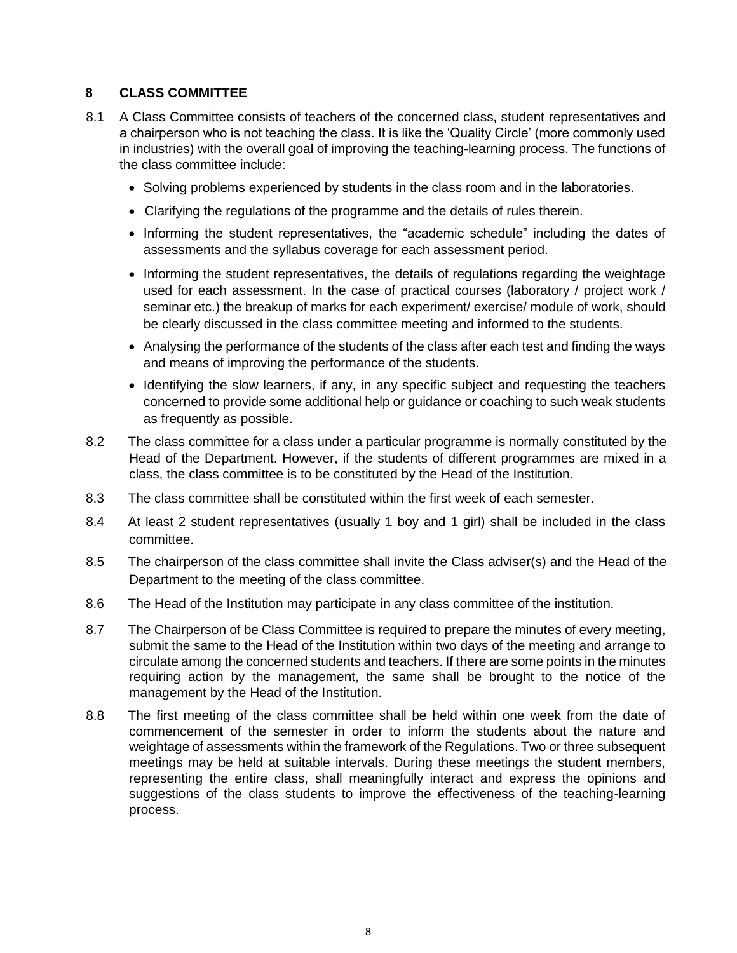# **8 CLASS COMMITTEE**

- 8.1 A Class Committee consists of teachers of the concerned class, student representatives and a chairperson who is not teaching the class. It is like the 'Quality Circle' (more commonly used in industries) with the overall goal of improving the teaching-learning process. The functions of the class committee include:
	- Solving problems experienced by students in the class room and in the laboratories.
	- Clarifying the regulations of the programme and the details of rules therein.
	- Informing the student representatives, the "academic schedule" including the dates of assessments and the syllabus coverage for each assessment period.
	- Informing the student representatives, the details of regulations regarding the weightage used for each assessment. In the case of practical courses (laboratory / project work / seminar etc.) the breakup of marks for each experiment/ exercise/ module of work, should be clearly discussed in the class committee meeting and informed to the students.
	- Analysing the performance of the students of the class after each test and finding the ways and means of improving the performance of the students.
	- Identifying the slow learners, if any, in any specific subject and requesting the teachers concerned to provide some additional help or guidance or coaching to such weak students as frequently as possible.
- 8.2 The class committee for a class under a particular programme is normally constituted by the Head of the Department. However, if the students of different programmes are mixed in a class, the class committee is to be constituted by the Head of the Institution.
- 8.3 The class committee shall be constituted within the first week of each semester.
- 8.4 At least 2 student representatives (usually 1 boy and 1 girl) shall be included in the class committee.
- 8.5 The chairperson of the class committee shall invite the Class adviser(s) and the Head of the Department to the meeting of the class committee.
- 8.6 The Head of the Institution may participate in any class committee of the institution.
- 8.7 The Chairperson of be Class Committee is required to prepare the minutes of every meeting, submit the same to the Head of the Institution within two days of the meeting and arrange to circulate among the concerned students and teachers. If there are some points in the minutes requiring action by the management, the same shall be brought to the notice of the management by the Head of the Institution.
- 8.8 The first meeting of the class committee shall be held within one week from the date of commencement of the semester in order to inform the students about the nature and weightage of assessments within the framework of the Regulations. Two or three subsequent meetings may be held at suitable intervals. During these meetings the student members, representing the entire class, shall meaningfully interact and express the opinions and suggestions of the class students to improve the effectiveness of the teaching-learning process.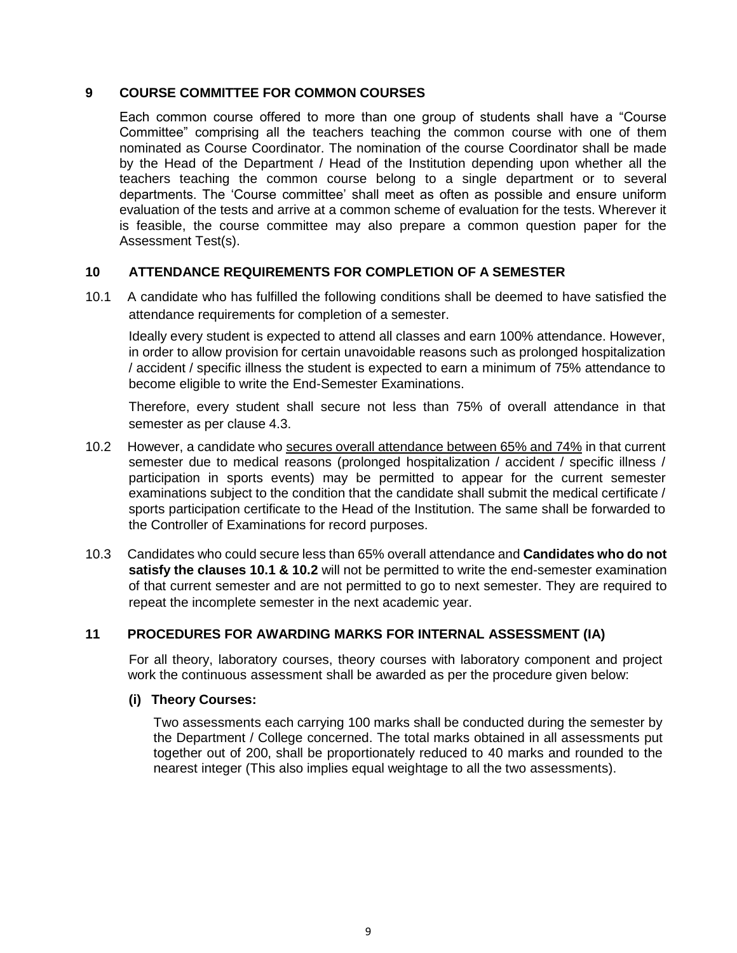## **9 COURSE COMMITTEE FOR COMMON COURSES**

Each common course offered to more than one group of students shall have a "Course Committee" comprising all the teachers teaching the common course with one of them nominated as Course Coordinator. The nomination of the course Coordinator shall be made by the Head of the Department / Head of the Institution depending upon whether all the teachers teaching the common course belong to a single department or to several departments. The 'Course committee' shall meet as often as possible and ensure uniform evaluation of the tests and arrive at a common scheme of evaluation for the tests. Wherever it is feasible, the course committee may also prepare a common question paper for the Assessment Test(s).

# **10 ATTENDANCE REQUIREMENTS FOR COMPLETION OF A SEMESTER**

10.1 A candidate who has fulfilled the following conditions shall be deemed to have satisfied the attendance requirements for completion of a semester.

Ideally every student is expected to attend all classes and earn 100% attendance. However, in order to allow provision for certain unavoidable reasons such as prolonged hospitalization / accident / specific illness the student is expected to earn a minimum of 75% attendance to become eligible to write the End-Semester Examinations.

Therefore, every student shall secure not less than 75% of overall attendance in that semester as per clause 4.3.

- 10.2 However, a candidate who secures overall attendance between 65% and 74% in that current semester due to medical reasons (prolonged hospitalization / accident / specific illness / participation in sports events) may be permitted to appear for the current semester examinations subject to the condition that the candidate shall submit the medical certificate / sports participation certificate to the Head of the Institution. The same shall be forwarded to the Controller of Examinations for record purposes.
- 10.3 Candidates who could secure less than 65% overall attendance and **Candidates who do not satisfy the clauses 10.1 & 10.2** will not be permitted to write the end-semester examination of that current semester and are not permitted to go to next semester. They are required to repeat the incomplete semester in the next academic year.

#### **11 PROCEDURES FOR AWARDING MARKS FOR INTERNAL ASSESSMENT (IA)**

For all theory, laboratory courses, theory courses with laboratory component and project work the continuous assessment shall be awarded as per the procedure given below:

#### **(i) Theory Courses:**

Two assessments each carrying 100 marks shall be conducted during the semester by the Department / College concerned. The total marks obtained in all assessments put together out of 200, shall be proportionately reduced to 40 marks and rounded to the nearest integer (This also implies equal weightage to all the two assessments).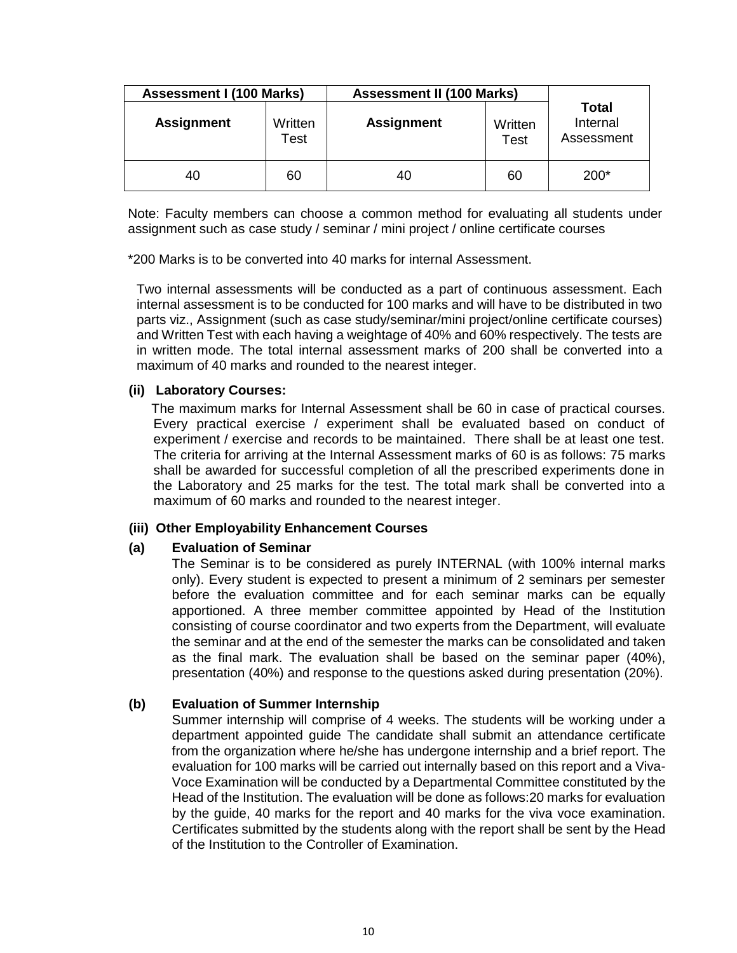| <b>Assessment I (100 Marks)</b><br><b>Assessment II (100 Marks)</b> |                 |                   |                                                    |        |
|---------------------------------------------------------------------|-----------------|-------------------|----------------------------------------------------|--------|
| <b>Assignment</b>                                                   | Written<br>Test | <b>Assignment</b> | Total<br>Internal<br>Written<br>Assessment<br>Test |        |
| 40                                                                  | 60              | 40                | 60                                                 | $200*$ |

Note: Faculty members can choose a common method for evaluating all students under assignment such as case study / seminar / mini project / online certificate courses

\*200 Marks is to be converted into 40 marks for internal Assessment.

Two internal assessments will be conducted as a part of continuous assessment. Each internal assessment is to be conducted for 100 marks and will have to be distributed in two parts viz., Assignment (such as case study/seminar/mini project/online certificate courses) and Written Test with each having a weightage of 40% and 60% respectively. The tests are in written mode. The total internal assessment marks of 200 shall be converted into a maximum of 40 marks and rounded to the nearest integer.

#### **(ii) Laboratory Courses:**

 The maximum marks for Internal Assessment shall be 60 in case of practical courses. Every practical exercise / experiment shall be evaluated based on conduct of experiment / exercise and records to be maintained. There shall be at least one test. The criteria for arriving at the Internal Assessment marks of 60 is as follows: 75 marks shall be awarded for successful completion of all the prescribed experiments done in the Laboratory and 25 marks for the test. The total mark shall be converted into a maximum of 60 marks and rounded to the nearest integer.

## **(iii) Other Employability Enhancement Courses**

## **(a) Evaluation of Seminar**

The Seminar is to be considered as purely INTERNAL (with 100% internal marks only). Every student is expected to present a minimum of 2 seminars per semester before the evaluation committee and for each seminar marks can be equally apportioned. A three member committee appointed by Head of the Institution consisting of course coordinator and two experts from the Department, will evaluate the seminar and at the end of the semester the marks can be consolidated and taken as the final mark. The evaluation shall be based on the seminar paper (40%), presentation (40%) and response to the questions asked during presentation (20%).

## **(b) Evaluation of Summer Internship**

Summer internship will comprise of 4 weeks. The students will be working under a department appointed guide The candidate shall submit an attendance certificate from the organization where he/she has undergone internship and a brief report. The evaluation for 100 marks will be carried out internally based on this report and a Viva-Voce Examination will be conducted by a Departmental Committee constituted by the Head of the Institution. The evaluation will be done as follows:20 marks for evaluation by the guide, 40 marks for the report and 40 marks for the viva voce examination. Certificates submitted by the students along with the report shall be sent by the Head of the Institution to the Controller of Examination.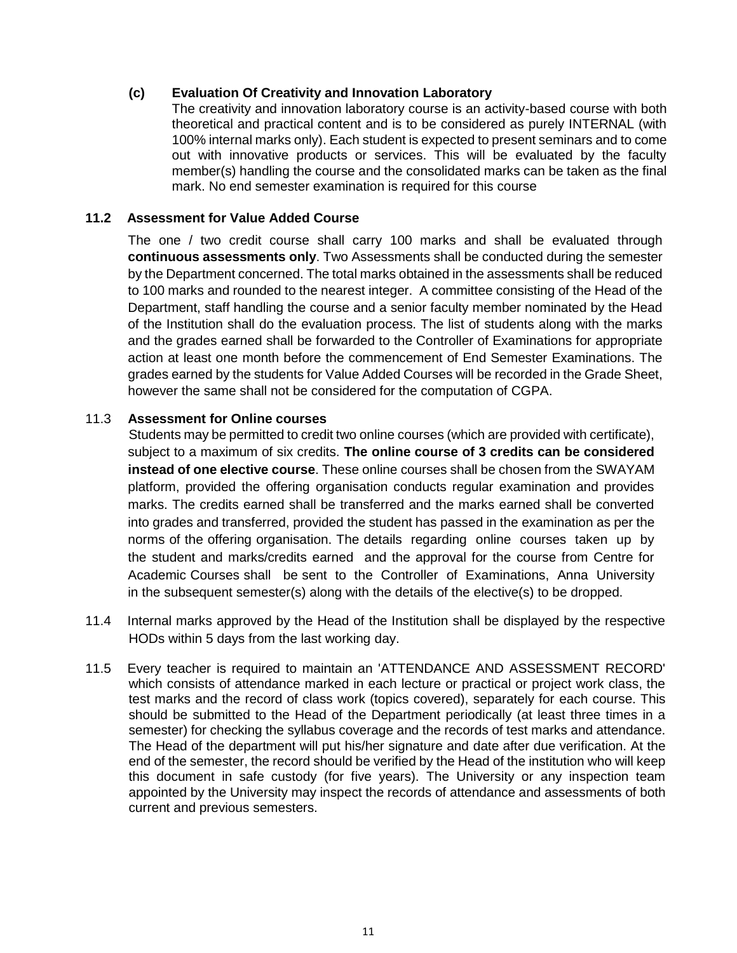## **(c) Evaluation Of Creativity and Innovation Laboratory**

The creativity and innovation laboratory course is an activity-based course with both theoretical and practical content and is to be considered as purely INTERNAL (with 100% internal marks only). Each student is expected to present seminars and to come out with innovative products or services. This will be evaluated by the faculty member(s) handling the course and the consolidated marks can be taken as the final mark. No end semester examination is required for this course

## **11.2 Assessment for Value Added Course**

The one / two credit course shall carry 100 marks and shall be evaluated through **continuous assessments only**. Two Assessments shall be conducted during the semester by the Department concerned. The total marks obtained in the assessments shall be reduced to 100 marks and rounded to the nearest integer. A committee consisting of the Head of the Department, staff handling the course and a senior faculty member nominated by the Head of the Institution shall do the evaluation process. The list of students along with the marks and the grades earned shall be forwarded to the Controller of Examinations for appropriate action at least one month before the commencement of End Semester Examinations. The grades earned by the students for Value Added Courses will be recorded in the Grade Sheet, however the same shall not be considered for the computation of CGPA.

#### 11.3 **Assessment for Online courses**

Students may be permitted to credit two online courses (which are provided with certificate), subject to a maximum of six credits. **The online course of 3 credits can be considered instead of one elective course**. These online courses shall be chosen from the SWAYAM platform, provided the offering organisation conducts regular examination and provides marks. The credits earned shall be transferred and the marks earned shall be converted into grades and transferred, provided the student has passed in the examination as per the norms of the offering organisation. The details regarding online courses taken up by the student and marks/credits earned and the approval for the course from Centre for Academic Courses shall be sent to the Controller of Examinations, Anna University in the subsequent semester(s) along with the details of the elective(s) to be dropped.

- 11.4 Internal marks approved by the Head of the Institution shall be displayed by the respective HODs within 5 days from the last working day.
- 11.5 Every teacher is required to maintain an 'ATTENDANCE AND ASSESSMENT RECORD' which consists of attendance marked in each lecture or practical or project work class, the test marks and the record of class work (topics covered), separately for each course. This should be submitted to the Head of the Department periodically (at least three times in a semester) for checking the syllabus coverage and the records of test marks and attendance. The Head of the department will put his/her signature and date after due verification. At the end of the semester, the record should be verified by the Head of the institution who will keep this document in safe custody (for five years). The University or any inspection team appointed by the University may inspect the records of attendance and assessments of both current and previous semesters.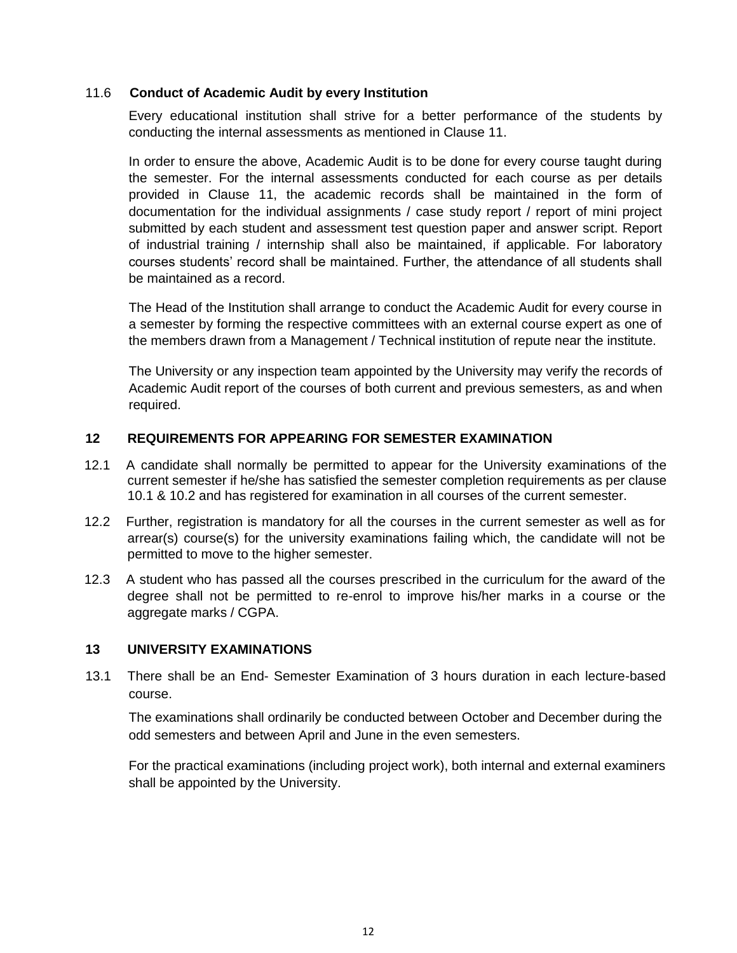## 11.6 **Conduct of Academic Audit by every Institution**

Every educational institution shall strive for a better performance of the students by conducting the internal assessments as mentioned in Clause 11.

In order to ensure the above, Academic Audit is to be done for every course taught during the semester. For the internal assessments conducted for each course as per details provided in Clause 11, the academic records shall be maintained in the form of documentation for the individual assignments / case study report / report of mini project submitted by each student and assessment test question paper and answer script. Report of industrial training / internship shall also be maintained, if applicable. For laboratory courses students' record shall be maintained. Further, the attendance of all students shall be maintained as a record.

The Head of the Institution shall arrange to conduct the Academic Audit for every course in a semester by forming the respective committees with an external course expert as one of the members drawn from a Management / Technical institution of repute near the institute.

The University or any inspection team appointed by the University may verify the records of Academic Audit report of the courses of both current and previous semesters, as and when required.

#### **12 REQUIREMENTS FOR APPEARING FOR SEMESTER EXAMINATION**

- 12.1 A candidate shall normally be permitted to appear for the University examinations of the current semester if he/she has satisfied the semester completion requirements as per clause 10.1 & 10.2 and has registered for examination in all courses of the current semester.
- 12.2 Further, registration is mandatory for all the courses in the current semester as well as for arrear(s) course(s) for the university examinations failing which, the candidate will not be permitted to move to the higher semester.
- 12.3 A student who has passed all the courses prescribed in the curriculum for the award of the degree shall not be permitted to re-enrol to improve his/her marks in a course or the aggregate marks / CGPA.

## **13 UNIVERSITY EXAMINATIONS**

13.1 There shall be an End- Semester Examination of 3 hours duration in each lecture-based course.

The examinations shall ordinarily be conducted between October and December during the odd semesters and between April and June in the even semesters.

For the practical examinations (including project work), both internal and external examiners shall be appointed by the University.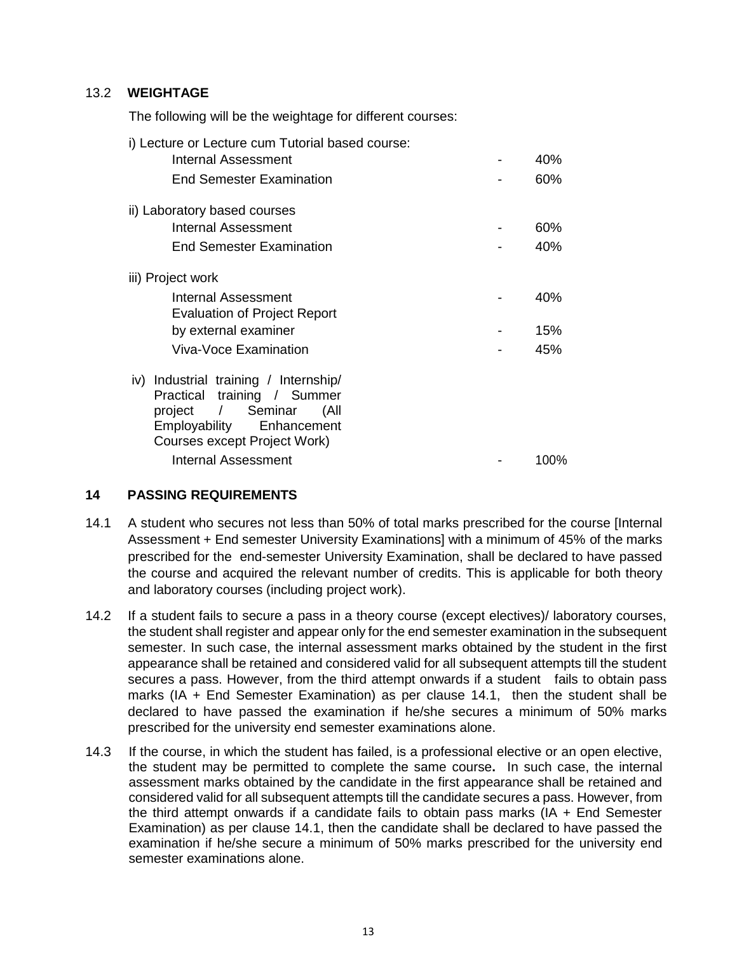## 13.2 **WEIGHTAGE**

The following will be the weightage for different courses:

| i) Lecture or Lecture cum Tutorial based course:                                                                                                                         |      |
|--------------------------------------------------------------------------------------------------------------------------------------------------------------------------|------|
| Internal Assessment                                                                                                                                                      | 40%  |
| <b>End Semester Examination</b>                                                                                                                                          | 60%  |
| ii) Laboratory based courses                                                                                                                                             |      |
| Internal Assessment                                                                                                                                                      | 60%  |
| <b>End Semester Examination</b>                                                                                                                                          | 40%  |
| iii) Project work                                                                                                                                                        |      |
| Internal Assessment<br><b>Evaluation of Project Report</b>                                                                                                               | 40%  |
| by external examiner                                                                                                                                                     | 15%  |
| Viva-Voce Examination                                                                                                                                                    | 45%  |
| Industrial training / Internship/<br>iv)<br>Practical training / Summer<br>project / Seminar<br>All)<br>Employability Enhancement<br><b>Courses except Project Work)</b> |      |
| Internal Assessment                                                                                                                                                      | 100% |

## **14 PASSING REQUIREMENTS**

- 14.1 A student who secures not less than 50% of total marks prescribed for the course [Internal Assessment + End semester University Examinations] with a minimum of 45% of the marks prescribed for the end-semester University Examination, shall be declared to have passed the course and acquired the relevant number of credits. This is applicable for both theory and laboratory courses (including project work).
- 14.2 If a student fails to secure a pass in a theory course (except electives)/ laboratory courses, the student shall register and appear only for the end semester examination in the subsequent semester. In such case, the internal assessment marks obtained by the student in the first appearance shall be retained and considered valid for all subsequent attempts till the student secures a pass. However, from the third attempt onwards if a student fails to obtain pass marks (IA + End Semester Examination) as per clause 14.1, then the student shall be declared to have passed the examination if he/she secures a minimum of 50% marks prescribed for the university end semester examinations alone.
- 14.3 If the course, in which the student has failed, is a professional elective or an open elective, the student may be permitted to complete the same course**.** In such case, the internal assessment marks obtained by the candidate in the first appearance shall be retained and considered valid for all subsequent attempts till the candidate secures a pass. However, from the third attempt onwards if a candidate fails to obtain pass marks (IA + End Semester Examination) as per clause 14.1, then the candidate shall be declared to have passed the examination if he/she secure a minimum of 50% marks prescribed for the university end semester examinations alone.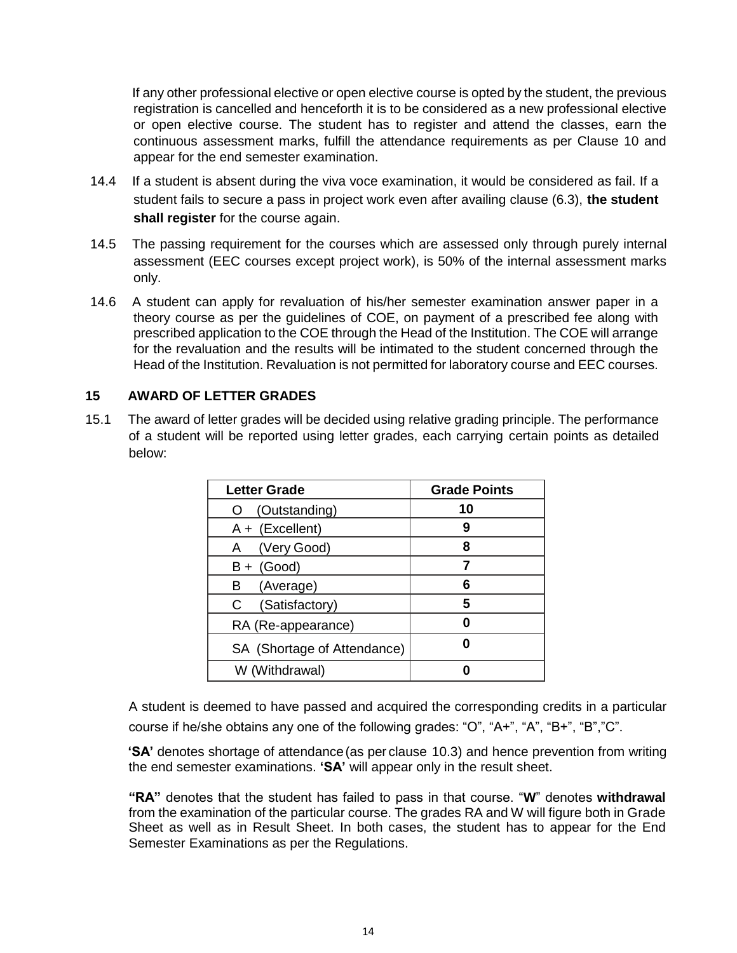If any other professional elective or open elective course is opted by the student, the previous registration is cancelled and henceforth it is to be considered as a new professional elective or open elective course. The student has to register and attend the classes, earn the continuous assessment marks, fulfill the attendance requirements as per Clause 10 and appear for the end semester examination.

- 14.4 If a student is absent during the viva voce examination, it would be considered as fail. If a student fails to secure a pass in project work even after availing clause (6.3), **the student shall register** for the course again.
- 14.5 The passing requirement for the courses which are assessed only through purely internal assessment (EEC courses except project work), is 50% of the internal assessment marks only.
- 14.6 A student can apply for revaluation of his/her semester examination answer paper in a theory course as per the guidelines of COE, on payment of a prescribed fee along with prescribed application to the COE through the Head of the Institution. The COE will arrange for the revaluation and the results will be intimated to the student concerned through the Head of the Institution. Revaluation is not permitted for laboratory course and EEC courses.

## **15 AWARD OF LETTER GRADES**

15.1 The award of letter grades will be decided using relative grading principle. The performance of a student will be reported using letter grades, each carrying certain points as detailed below:

| <b>Letter Grade</b>         | <b>Grade Points</b> |
|-----------------------------|---------------------|
| (Outstanding)               | 10                  |
| $A + (Excellent)$           | 9                   |
| A (Very Good)               | ឧ                   |
| $B + (Good)$                |                     |
| (Average)<br>в              | 6                   |
| (Satisfactory)<br>C         | 5                   |
| RA (Re-appearance)          |                     |
| SA (Shortage of Attendance) |                     |
| W (Withdrawal)              |                     |

A student is deemed to have passed and acquired the corresponding credits in a particular course if he/she obtains any one of the following grades: "O", "A+", "A", "B+", "B","C".

**'SA'** denotes shortage of attendance(as per clause 10.3) and hence prevention from writing the end semester examinations. **'SA'** will appear only in the result sheet.

**"RA"** denotes that the student has failed to pass in that course. "**W**" denotes **withdrawal**  from the examination of the particular course. The grades RA and W will figure both in Grade Sheet as well as in Result Sheet. In both cases, the student has to appear for the End Semester Examinations as per the Regulations.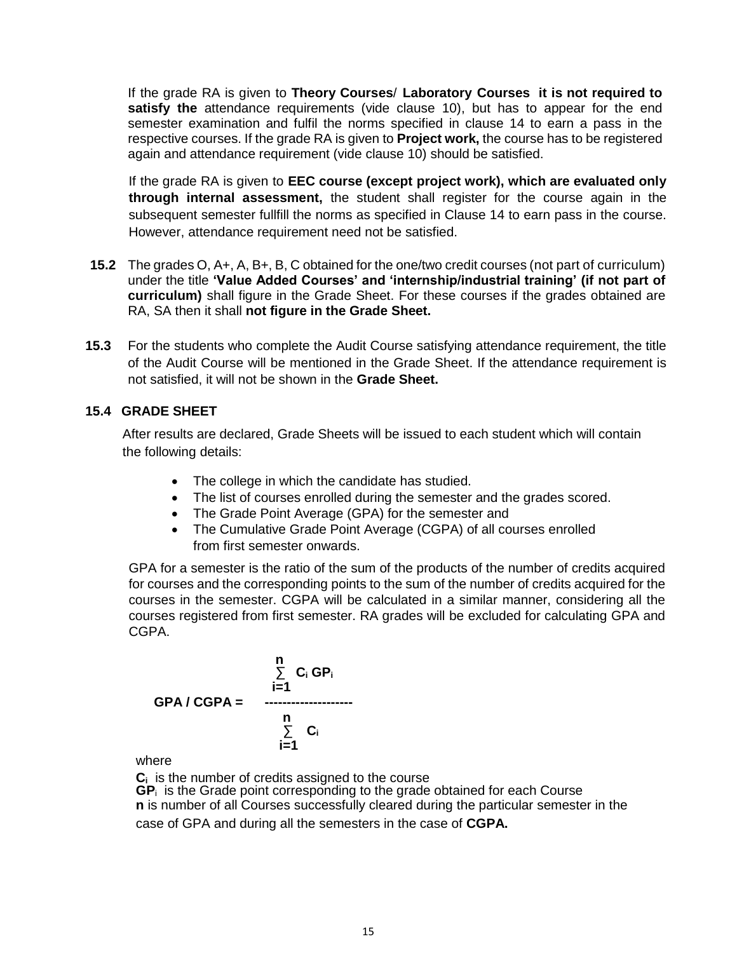If the grade RA is given to **Theory Courses**/ **Laboratory Courses it is not required to satisfy the** attendance requirements (vide clause 10), but has to appear for the end semester examination and fulfil the norms specified in clause 14 to earn a pass in the respective courses. If the grade RA is given to **Project work,** the course has to be registered again and attendance requirement (vide clause 10) should be satisfied.

If the grade RA is given to **EEC course (except project work), which are evaluated only through internal assessment,** the student shall register for the course again in the subsequent semester fullfill the norms as specified in Clause 14 to earn pass in the course. However, attendance requirement need not be satisfied.

- **15.2** The grades O, A+, A, B+, B, C obtained for the one/two credit courses (not part of curriculum) under the title **'Value Added Courses' and 'internship/industrial training' (if not part of curriculum)** shall figure in the Grade Sheet. For these courses if the grades obtained are RA, SA then it shall **not figure in the Grade Sheet.**
- **15.3** For the students who complete the Audit Course satisfying attendance requirement, the title of the Audit Course will be mentioned in the Grade Sheet. If the attendance requirement is not satisfied, it will not be shown in the **Grade Sheet.**

## **15.4 GRADE SHEET**

After results are declared, Grade Sheets will be issued to each student which will contain the following details:

- The college in which the candidate has studied.
- The list of courses enrolled during the semester and the grades scored.
- The Grade Point Average (GPA) for the semester and
- The Cumulative Grade Point Average (CGPA) of all courses enrolled from first semester onwards.

GPA for a semester is the ratio of the sum of the products of the number of credits acquired for courses and the corresponding points to the sum of the number of credits acquired for the courses in the semester. CGPA will be calculated in a similar manner, considering all the courses registered from first semester. RA grades will be excluded for calculating GPA and CGPA.

$$
GPA / CGPA = \begin{array}{c} n \\ \sum_{i=1}^{n} C_i GP_i \\ \vdots \\ \sum_{i=1}^{n} C_i \end{array}
$$

where

**C<sup>i</sup>** is the number of credits assigned to the course

**GP**<sup>i</sup>is the Grade point corresponding to the grade obtained for each Course **n** is number of all Courses successfully cleared during the particular semester in the case of GPA and during all the semesters in the case of **CGPA.**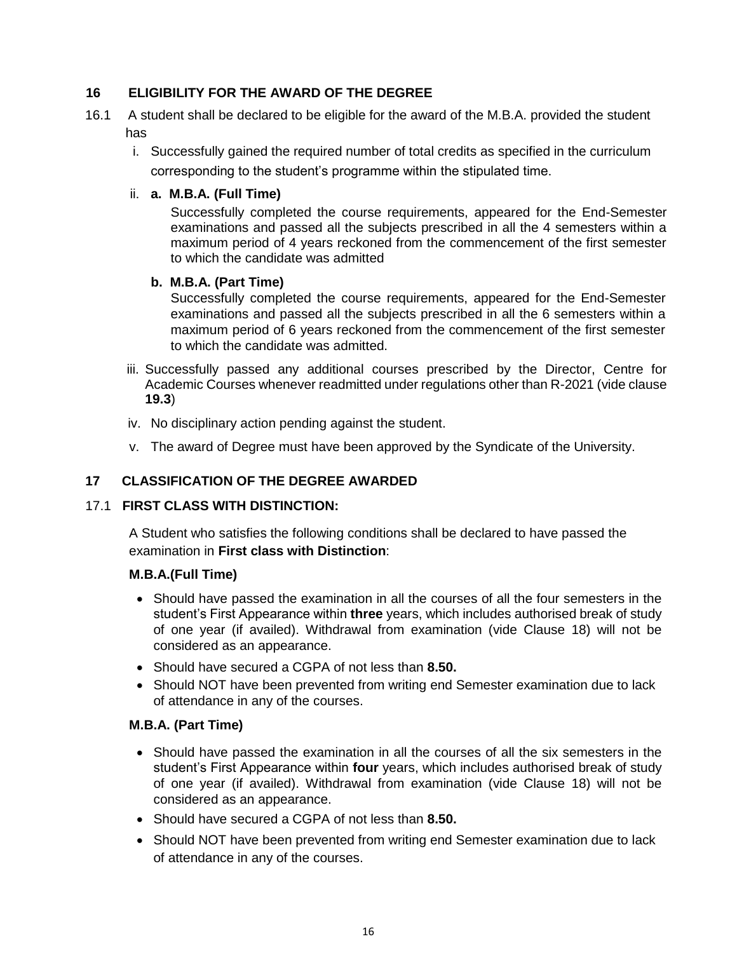# **16 ELIGIBILITY FOR THE AWARD OF THE DEGREE**

- 16.1 A student shall be declared to be eligible for the award of the M.B.A. provided the student has
	- i. Successfully gained the required number of total credits as specified in the curriculum corresponding to the student's programme within the stipulated time.

#### ii. **a. M.B.A. (Full Time)**

Successfully completed the course requirements, appeared for the End-Semester examinations and passed all the subjects prescribed in all the 4 semesters within a maximum period of 4 years reckoned from the commencement of the first semester to which the candidate was admitted

## **b. M.B.A. (Part Time)**

Successfully completed the course requirements, appeared for the End-Semester examinations and passed all the subjects prescribed in all the 6 semesters within a maximum period of 6 years reckoned from the commencement of the first semester to which the candidate was admitted.

- iii. Successfully passed any additional courses prescribed by the Director, Centre for Academic Courses whenever readmitted under regulations other than R-2021 (vide clause **19.3**)
- iv. No disciplinary action pending against the student.
- v. The award of Degree must have been approved by the Syndicate of the University.

## **17 CLASSIFICATION OF THE DEGREE AWARDED**

## 17.1 **FIRST CLASS WITH DISTINCTION:**

A Student who satisfies the following conditions shall be declared to have passed the examination in **First class with Distinction**:

## **M.B.A.(Full Time)**

- Should have passed the examination in all the courses of all the four semesters in the student's First Appearance within **three** years, which includes authorised break of study of one year (if availed). Withdrawal from examination (vide Clause 18) will not be considered as an appearance.
- Should have secured a CGPA of not less than **8.50.**
- Should NOT have been prevented from writing end Semester examination due to lack of attendance in any of the courses.

## **M.B.A. (Part Time)**

- Should have passed the examination in all the courses of all the six semesters in the student's First Appearance within **four** years, which includes authorised break of study of one year (if availed). Withdrawal from examination (vide Clause 18) will not be considered as an appearance.
- Should have secured a CGPA of not less than **8.50.**
- Should NOT have been prevented from writing end Semester examination due to lack of attendance in any of the courses.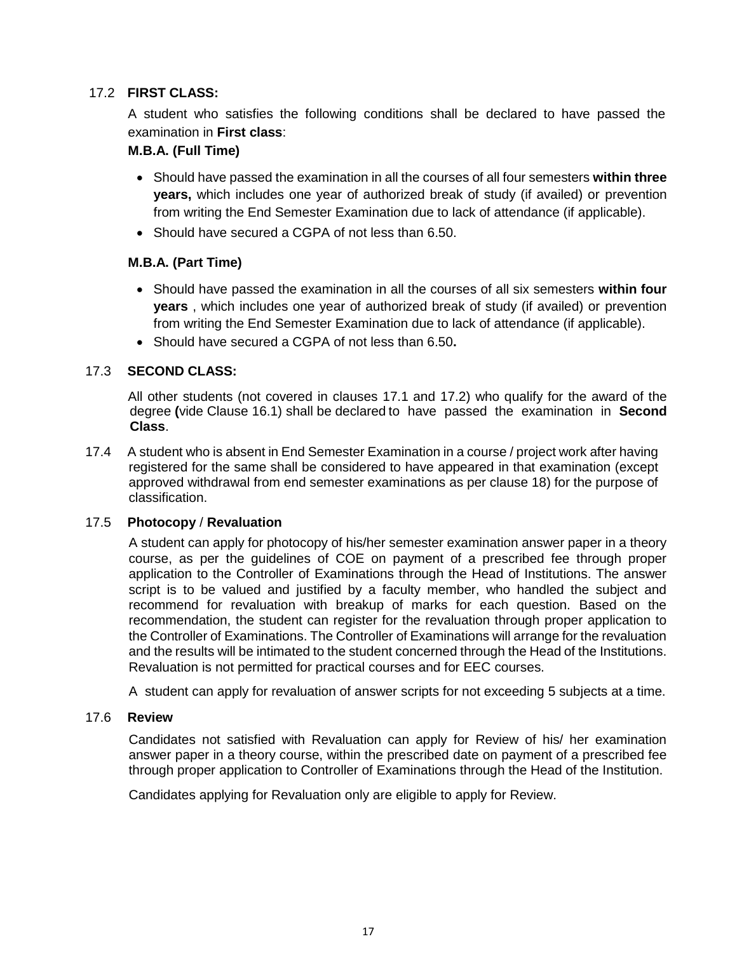# 17.2 **FIRST CLASS:**

A student who satisfies the following conditions shall be declared to have passed the examination in **First class**:

## **M.B.A. (Full Time)**

- Should have passed the examination in all the courses of all four semesters **within three years,** which includes one year of authorized break of study (if availed) or prevention from writing the End Semester Examination due to lack of attendance (if applicable).
- Should have secured a CGPA of not less than 6.50.

## **M.B.A. (Part Time)**

- Should have passed the examination in all the courses of all six semesters **within four years** , which includes one year of authorized break of study (if availed) or prevention from writing the End Semester Examination due to lack of attendance (if applicable).
- Should have secured a CGPA of not less than 6.50**.**

## 17.3 **SECOND CLASS:**

All other students (not covered in clauses 17.1 and 17.2) who qualify for the award of the degree **(**vide Clause 16.1) shall be declared to have passed the examination in **Second Class**.

17.4 A student who is absent in End Semester Examination in a course / project work after having registered for the same shall be considered to have appeared in that examination (except approved withdrawal from end semester examinations as per clause 18) for the purpose of classification.

## 17.5 **Photocopy** / **Revaluation**

A student can apply for photocopy of his/her semester examination answer paper in a theory course, as per the guidelines of COE on payment of a prescribed fee through proper application to the Controller of Examinations through the Head of Institutions. The answer script is to be valued and justified by a faculty member, who handled the subject and recommend for revaluation with breakup of marks for each question. Based on the recommendation, the student can register for the revaluation through proper application to the Controller of Examinations. The Controller of Examinations will arrange for the revaluation and the results will be intimated to the student concerned through the Head of the Institutions. Revaluation is not permitted for practical courses and for EEC courses.

A student can apply for revaluation of answer scripts for not exceeding 5 subjects at a time.

## 17.6 **Review**

Candidates not satisfied with Revaluation can apply for Review of his/ her examination answer paper in a theory course, within the prescribed date on payment of a prescribed fee through proper application to Controller of Examinations through the Head of the Institution.

Candidates applying for Revaluation only are eligible to apply for Review.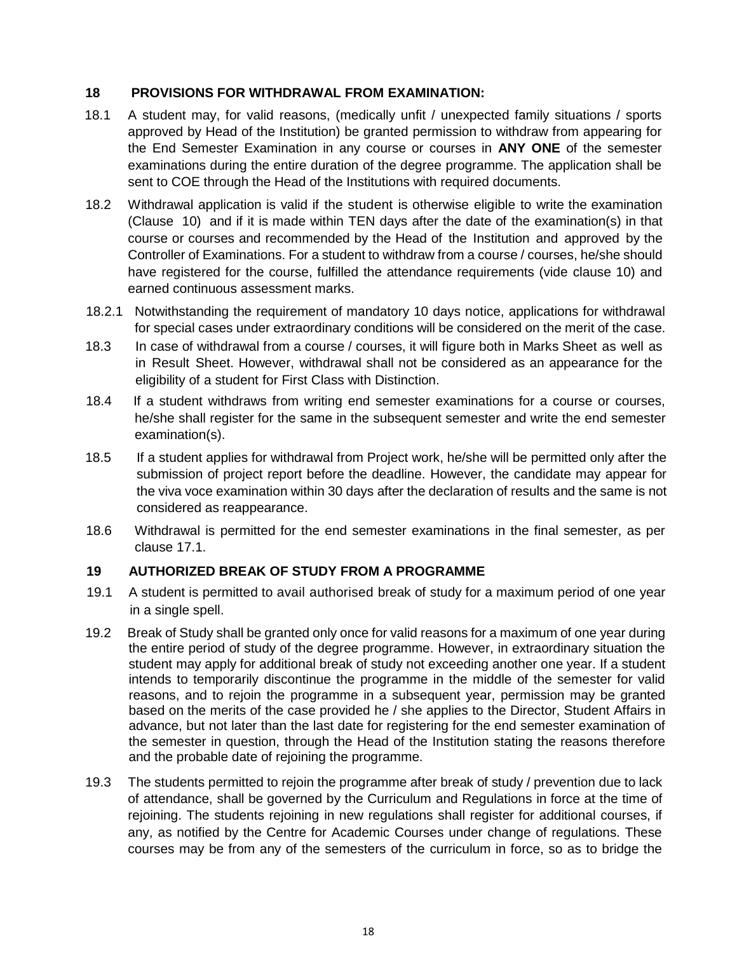## **18 PROVISIONS FOR WITHDRAWAL FROM EXAMINATION:**

- 18.1 A student may, for valid reasons, (medically unfit / unexpected family situations / sports approved by Head of the Institution) be granted permission to withdraw from appearing for the End Semester Examination in any course or courses in **ANY ONE** of the semester examinations during the entire duration of the degree programme. The application shall be sent to COE through the Head of the Institutions with required documents.
- 18.2 Withdrawal application is valid if the student is otherwise eligible to write the examination (Clause 10) and if it is made within TEN days after the date of the examination(s) in that course or courses and recommended by the Head of the Institution and approved by the Controller of Examinations. For a student to withdraw from a course / courses, he/she should have registered for the course, fulfilled the attendance requirements (vide clause 10) and earned continuous assessment marks.
- 18.2.1 Notwithstanding the requirement of mandatory 10 days notice, applications for withdrawal for special cases under extraordinary conditions will be considered on the merit of the case.
- 18.3 In case of withdrawal from a course / courses, it will figure both in Marks Sheet as well as in Result Sheet. However, withdrawal shall not be considered as an appearance for the eligibility of a student for First Class with Distinction.
- 18.4 If a student withdraws from writing end semester examinations for a course or courses, he/she shall register for the same in the subsequent semester and write the end semester examination(s).
- 18.5 If a student applies for withdrawal from Project work, he/she will be permitted only after the submission of project report before the deadline. However, the candidate may appear for the viva voce examination within 30 days after the declaration of results and the same is not considered as reappearance.
- 18.6 Withdrawal is permitted for the end semester examinations in the final semester, as per clause 17.1.

# **19 AUTHORIZED BREAK OF STUDY FROM A PROGRAMME**

- 19.1 A student is permitted to avail authorised break of study for a maximum period of one year in a single spell.
- 19.2 Break of Study shall be granted only once for valid reasons for a maximum of one year during the entire period of study of the degree programme. However, in extraordinary situation the student may apply for additional break of study not exceeding another one year. If a student intends to temporarily discontinue the programme in the middle of the semester for valid reasons, and to rejoin the programme in a subsequent year, permission may be granted based on the merits of the case provided he / she applies to the Director, Student Affairs in advance, but not later than the last date for registering for the end semester examination of the semester in question, through the Head of the Institution stating the reasons therefore and the probable date of rejoining the programme.
- 19.3 The students permitted to rejoin the programme after break of study / prevention due to lack of attendance, shall be governed by the Curriculum and Regulations in force at the time of rejoining. The students rejoining in new regulations shall register for additional courses, if any, as notified by the Centre for Academic Courses under change of regulations. These courses may be from any of the semesters of the curriculum in force, so as to bridge the